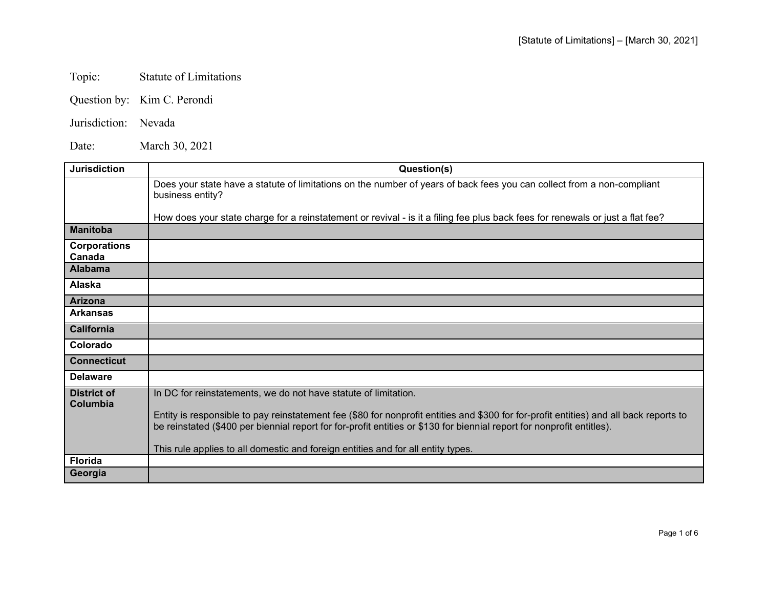## Topic: Statute of Limitations

- Question by: Kim C. Perondi
- Jurisdiction: Nevada

Date: March 30, 2021

| <b>Jurisdiction</b>            | Question(s)                                                                                                                                                                                                                                                                                                                         |
|--------------------------------|-------------------------------------------------------------------------------------------------------------------------------------------------------------------------------------------------------------------------------------------------------------------------------------------------------------------------------------|
|                                | Does your state have a statute of limitations on the number of years of back fees you can collect from a non-compliant<br>business entity?                                                                                                                                                                                          |
|                                | How does your state charge for a reinstatement or revival - is it a filing fee plus back fees for renewals or just a flat fee?                                                                                                                                                                                                      |
| <b>Manitoba</b>                |                                                                                                                                                                                                                                                                                                                                     |
| <b>Corporations</b><br>Canada  |                                                                                                                                                                                                                                                                                                                                     |
| <b>Alabama</b>                 |                                                                                                                                                                                                                                                                                                                                     |
| Alaska                         |                                                                                                                                                                                                                                                                                                                                     |
| <b>Arizona</b>                 |                                                                                                                                                                                                                                                                                                                                     |
| <b>Arkansas</b>                |                                                                                                                                                                                                                                                                                                                                     |
| California                     |                                                                                                                                                                                                                                                                                                                                     |
| Colorado                       |                                                                                                                                                                                                                                                                                                                                     |
| <b>Connecticut</b>             |                                                                                                                                                                                                                                                                                                                                     |
| <b>Delaware</b>                |                                                                                                                                                                                                                                                                                                                                     |
| <b>District of</b><br>Columbia | In DC for reinstatements, we do not have statute of limitation.<br>Entity is responsible to pay reinstatement fee (\$80 for nonprofit entities and \$300 for for-profit entities) and all back reports to<br>be reinstated (\$400 per biennial report for for-profit entities or \$130 for biennial report for nonprofit entitles). |
|                                | This rule applies to all domestic and foreign entities and for all entity types.                                                                                                                                                                                                                                                    |
| <b>Florida</b>                 |                                                                                                                                                                                                                                                                                                                                     |
| Georgia                        |                                                                                                                                                                                                                                                                                                                                     |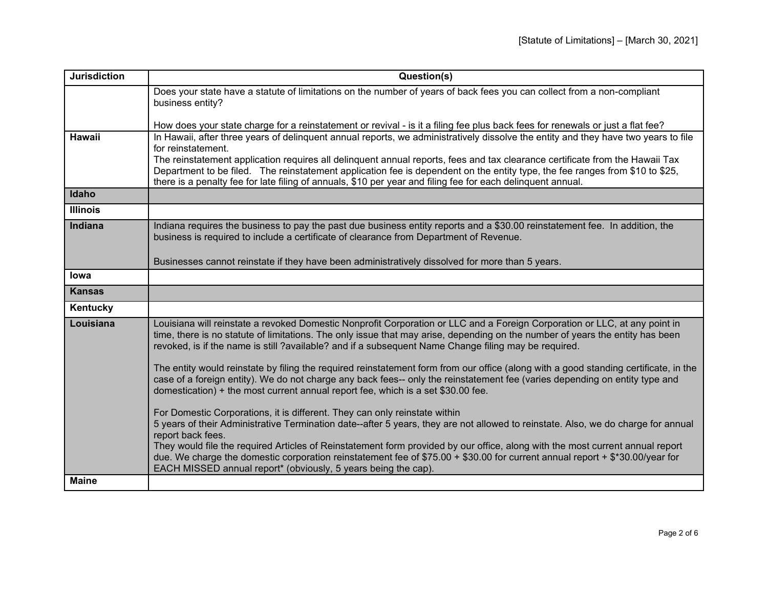| <b>Jurisdiction</b> | Question(s)                                                                                                                                                                                                                                                                                                                                                         |
|---------------------|---------------------------------------------------------------------------------------------------------------------------------------------------------------------------------------------------------------------------------------------------------------------------------------------------------------------------------------------------------------------|
|                     | Does your state have a statute of limitations on the number of years of back fees you can collect from a non-compliant<br>business entity?                                                                                                                                                                                                                          |
|                     | How does your state charge for a reinstatement or revival - is it a filing fee plus back fees for renewals or just a flat fee?                                                                                                                                                                                                                                      |
| <b>Hawaii</b>       | In Hawaii, after three years of delinquent annual reports, we administratively dissolve the entity and they have two years to file                                                                                                                                                                                                                                  |
|                     | for reinstatement.<br>The reinstatement application requires all delinquent annual reports, fees and tax clearance certificate from the Hawaii Tax                                                                                                                                                                                                                  |
|                     | Department to be filed. The reinstatement application fee is dependent on the entity type, the fee ranges from \$10 to \$25,                                                                                                                                                                                                                                        |
|                     | there is a penalty fee for late filing of annuals, \$10 per year and filing fee for each delinquent annual.                                                                                                                                                                                                                                                         |
| Idaho               |                                                                                                                                                                                                                                                                                                                                                                     |
| <b>Illinois</b>     |                                                                                                                                                                                                                                                                                                                                                                     |
| Indiana             | Indiana requires the business to pay the past due business entity reports and a \$30.00 reinstatement fee. In addition, the<br>business is required to include a certificate of clearance from Department of Revenue.                                                                                                                                               |
|                     | Businesses cannot reinstate if they have been administratively dissolved for more than 5 years.                                                                                                                                                                                                                                                                     |
| lowa                |                                                                                                                                                                                                                                                                                                                                                                     |
| <b>Kansas</b>       |                                                                                                                                                                                                                                                                                                                                                                     |
| Kentucky            |                                                                                                                                                                                                                                                                                                                                                                     |
| Louisiana           | Louisiana will reinstate a revoked Domestic Nonprofit Corporation or LLC and a Foreign Corporation or LLC, at any point in<br>time, there is no statute of limitations. The only issue that may arise, depending on the number of years the entity has been<br>revoked, is if the name is still ?available? and if a subsequent Name Change filing may be required. |
|                     | The entity would reinstate by filing the required reinstatement form from our office (along with a good standing certificate, in the<br>case of a foreign entity). We do not charge any back fees-- only the reinstatement fee (varies depending on entity type and<br>domestication) + the most current annual report fee, which is a set \$30.00 fee.             |
|                     | For Domestic Corporations, it is different. They can only reinstate within                                                                                                                                                                                                                                                                                          |
|                     | 5 years of their Administrative Termination date--after 5 years, they are not allowed to reinstate. Also, we do charge for annual<br>report back fees.                                                                                                                                                                                                              |
|                     | They would file the required Articles of Reinstatement form provided by our office, along with the most current annual report<br>due. We charge the domestic corporation reinstatement fee of $$75.00 + $30.00$ for current annual report + $$*30.00/year$ for<br>EACH MISSED annual report* (obviously, 5 years being the cap).                                    |
| <b>Maine</b>        |                                                                                                                                                                                                                                                                                                                                                                     |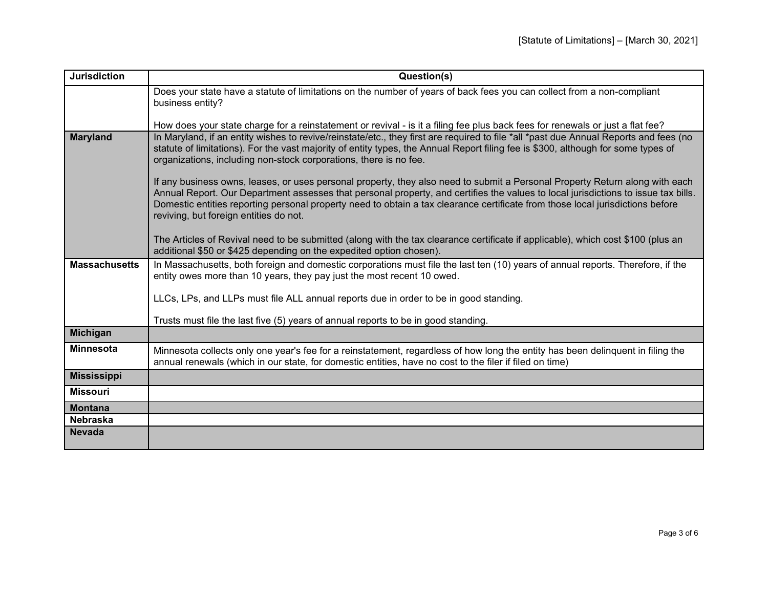| <b>Jurisdiction</b>  | Question(s)                                                                                                                                                                                                                                                                                                                                                                                                                                    |
|----------------------|------------------------------------------------------------------------------------------------------------------------------------------------------------------------------------------------------------------------------------------------------------------------------------------------------------------------------------------------------------------------------------------------------------------------------------------------|
|                      | Does your state have a statute of limitations on the number of years of back fees you can collect from a non-compliant<br>business entity?                                                                                                                                                                                                                                                                                                     |
|                      |                                                                                                                                                                                                                                                                                                                                                                                                                                                |
|                      | How does your state charge for a reinstatement or revival - is it a filing fee plus back fees for renewals or just a flat fee?                                                                                                                                                                                                                                                                                                                 |
| <b>Maryland</b>      | In Maryland, if an entity wishes to revive/reinstate/etc., they first are required to file *all *past due Annual Reports and fees (no<br>statute of limitations). For the vast majority of entity types, the Annual Report filing fee is \$300, although for some types of<br>organizations, including non-stock corporations, there is no fee.                                                                                                |
|                      | If any business owns, leases, or uses personal property, they also need to submit a Personal Property Return along with each<br>Annual Report. Our Department assesses that personal property, and certifies the values to local jurisdictions to issue tax bills.<br>Domestic entities reporting personal property need to obtain a tax clearance certificate from those local jurisdictions before<br>reviving, but foreign entities do not. |
|                      | The Articles of Revival need to be submitted (along with the tax clearance certificate if applicable), which cost \$100 (plus an<br>additional \$50 or \$425 depending on the expedited option chosen).                                                                                                                                                                                                                                        |
| <b>Massachusetts</b> | In Massachusetts, both foreign and domestic corporations must file the last ten (10) years of annual reports. Therefore, if the<br>entity owes more than 10 years, they pay just the most recent 10 owed.                                                                                                                                                                                                                                      |
|                      | LLCs, LPs, and LLPs must file ALL annual reports due in order to be in good standing.                                                                                                                                                                                                                                                                                                                                                          |
|                      | Trusts must file the last five (5) years of annual reports to be in good standing.                                                                                                                                                                                                                                                                                                                                                             |
| <b>Michigan</b>      |                                                                                                                                                                                                                                                                                                                                                                                                                                                |
| <b>Minnesota</b>     | Minnesota collects only one year's fee for a reinstatement, regardless of how long the entity has been delinquent in filing the<br>annual renewals (which in our state, for domestic entities, have no cost to the filer if filed on time)                                                                                                                                                                                                     |
| <b>Mississippi</b>   |                                                                                                                                                                                                                                                                                                                                                                                                                                                |
| <b>Missouri</b>      |                                                                                                                                                                                                                                                                                                                                                                                                                                                |
| <b>Montana</b>       |                                                                                                                                                                                                                                                                                                                                                                                                                                                |
| <b>Nebraska</b>      |                                                                                                                                                                                                                                                                                                                                                                                                                                                |
| <b>Nevada</b>        |                                                                                                                                                                                                                                                                                                                                                                                                                                                |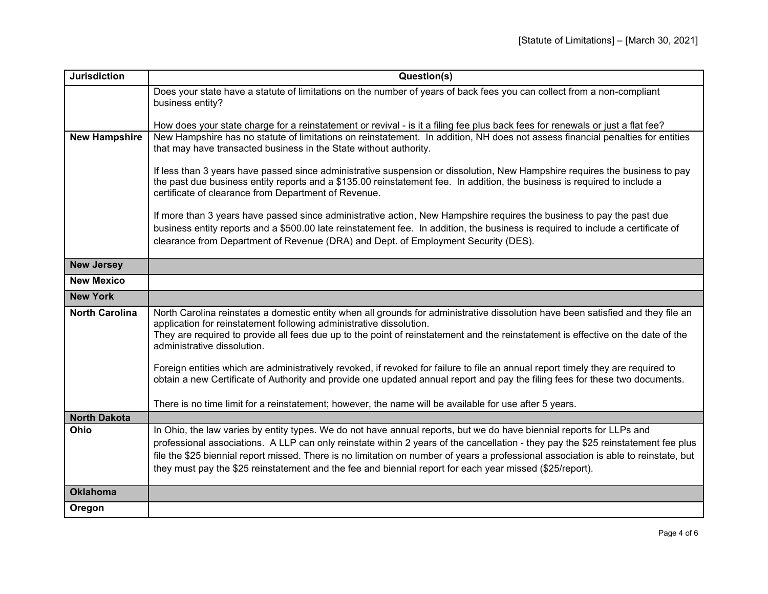| <b>Jurisdiction</b>   | Question(s)                                                                                                                                                                                             |
|-----------------------|---------------------------------------------------------------------------------------------------------------------------------------------------------------------------------------------------------|
|                       | Does your state have a statute of limitations on the number of years of back fees you can collect from a non-compliant                                                                                  |
|                       | business entity?                                                                                                                                                                                        |
|                       | How does your state charge for a reinstatement or revival - is it a filing fee plus back fees for renewals or just a flat fee?                                                                          |
| <b>New Hampshire</b>  | New Hampshire has no statute of limitations on reinstatement. In addition, NH does not assess financial penalties for entities                                                                          |
|                       | that may have transacted business in the State without authority.                                                                                                                                       |
|                       | If less than 3 years have passed since administrative suspension or dissolution, New Hampshire requires the business to pay                                                                             |
|                       | the past due business entity reports and a \$135.00 reinstatement fee. In addition, the business is required to include a                                                                               |
|                       | certificate of clearance from Department of Revenue.                                                                                                                                                    |
|                       | If more than 3 years have passed since administrative action, New Hampshire requires the business to pay the past due                                                                                   |
|                       | business entity reports and a \$500.00 late reinstatement fee. In addition, the business is required to include a certificate of                                                                        |
|                       | clearance from Department of Revenue (DRA) and Dept. of Employment Security (DES).                                                                                                                      |
| <b>New Jersey</b>     |                                                                                                                                                                                                         |
| <b>New Mexico</b>     |                                                                                                                                                                                                         |
| <b>New York</b>       |                                                                                                                                                                                                         |
|                       |                                                                                                                                                                                                         |
| <b>North Carolina</b> | North Carolina reinstates a domestic entity when all grounds for administrative dissolution have been satisfied and they file an<br>application for reinstatement following administrative dissolution. |
|                       | They are required to provide all fees due up to the point of reinstatement and the reinstatement is effective on the date of the<br>administrative dissolution.                                         |
|                       |                                                                                                                                                                                                         |
|                       | Foreign entities which are administratively revoked, if revoked for failure to file an annual report timely they are required to                                                                        |
|                       | obtain a new Certificate of Authority and provide one updated annual report and pay the filing fees for these two documents.                                                                            |
|                       | There is no time limit for a reinstatement; however, the name will be available for use after 5 years.                                                                                                  |
| <b>North Dakota</b>   |                                                                                                                                                                                                         |
| Ohio                  | In Ohio, the law varies by entity types. We do not have annual reports, but we do have biennial reports for LLPs and                                                                                    |
|                       | professional associations. A LLP can only reinstate within 2 years of the cancellation - they pay the \$25 reinstatement fee plus                                                                       |
|                       | file the \$25 biennial report missed. There is no limitation on number of years a professional association is able to reinstate, but                                                                    |
|                       | they must pay the \$25 reinstatement and the fee and biennial report for each year missed (\$25/report).                                                                                                |
| <b>Oklahoma</b>       |                                                                                                                                                                                                         |
| Oregon                |                                                                                                                                                                                                         |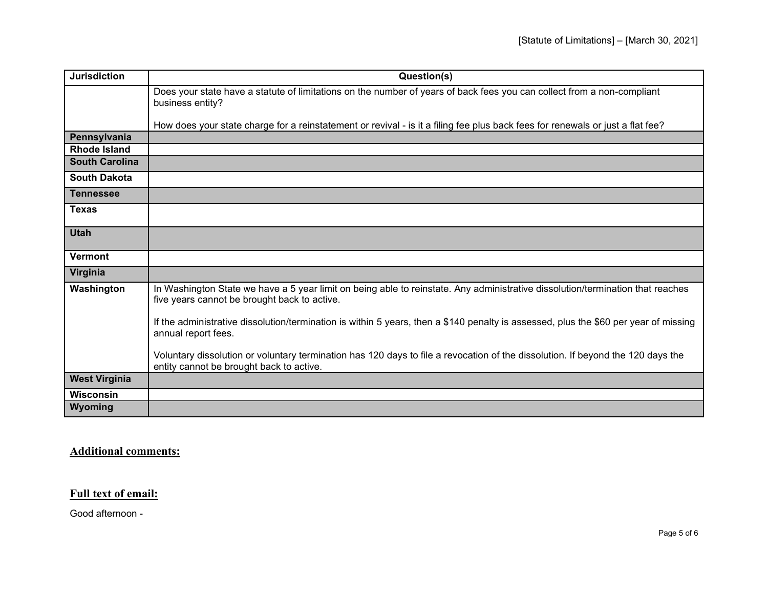| <b>Jurisdiction</b>   | Question(s)                                                                                                                                                                    |
|-----------------------|--------------------------------------------------------------------------------------------------------------------------------------------------------------------------------|
|                       | Does your state have a statute of limitations on the number of years of back fees you can collect from a non-compliant<br>business entity?                                     |
|                       | How does your state charge for a reinstatement or revival - is it a filing fee plus back fees for renewals or just a flat fee?                                                 |
| Pennsylvania          |                                                                                                                                                                                |
| <b>Rhode Island</b>   |                                                                                                                                                                                |
| <b>South Carolina</b> |                                                                                                                                                                                |
| <b>South Dakota</b>   |                                                                                                                                                                                |
| <b>Tennessee</b>      |                                                                                                                                                                                |
| <b>Texas</b>          |                                                                                                                                                                                |
| <b>Utah</b>           |                                                                                                                                                                                |
| Vermont               |                                                                                                                                                                                |
| Virginia              |                                                                                                                                                                                |
| Washington            | In Washington State we have a 5 year limit on being able to reinstate. Any administrative dissolution/termination that reaches<br>five years cannot be brought back to active. |
|                       | If the administrative dissolution/termination is within 5 years, then a \$140 penalty is assessed, plus the \$60 per year of missing<br>annual report fees.                    |
|                       | Voluntary dissolution or voluntary termination has 120 days to file a revocation of the dissolution. If beyond the 120 days the<br>entity cannot be brought back to active.    |
| <b>West Virginia</b>  |                                                                                                                                                                                |
| <b>Wisconsin</b>      |                                                                                                                                                                                |
| Wyoming               |                                                                                                                                                                                |

## **Additional comments:**

## **Full text of email:**

Good afternoon -